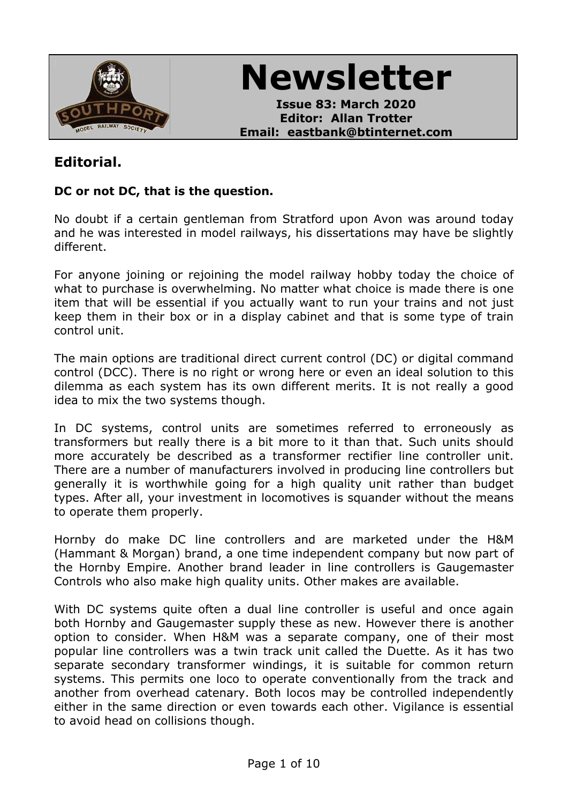

**Newsletter**

**Issue 83: March 2020 Editor: Allan Trotter Email: eastbank@btinternet.com**

# **Editorial.**

#### **DC or not DC, that is the question.**

No doubt if a certain gentleman from Stratford upon Avon was around today and he was interested in model railways, his dissertations may have be slightly different.

For anyone joining or rejoining the model railway hobby today the choice of what to purchase is overwhelming. No matter what choice is made there is one item that will be essential if you actually want to run your trains and not just keep them in their box or in a display cabinet and that is some type of train control unit.

The main options are traditional direct current control (DC) or digital command control (DCC). There is no right or wrong here or even an ideal solution to this dilemma as each system has its own different merits. It is not really a good idea to mix the two systems though.

In DC systems, control units are sometimes referred to erroneously as transformers but really there is a bit more to it than that. Such units should more accurately be described as a transformer rectifier line controller unit. There are a number of manufacturers involved in producing line controllers but generally it is worthwhile going for a high quality unit rather than budget types. After all, your investment in locomotives is squander without the means to operate them properly.

Hornby do make DC line controllers and are marketed under the H&M (Hammant & Morgan) brand, a one time independent company but now part of the Hornby Empire. Another brand leader in line controllers is Gaugemaster Controls who also make high quality units. Other makes are available.

With DC systems quite often a dual line controller is useful and once again both Hornby and Gaugemaster supply these as new. However there is another option to consider. When H&M was a separate company, one of their most popular line controllers was a twin track unit called the Duette. As it has two separate secondary transformer windings, it is suitable for common return systems. This permits one loco to operate conventionally from the track and another from overhead catenary. Both locos may be controlled independently either in the same direction or even towards each other. Vigilance is essential to avoid head on collisions though.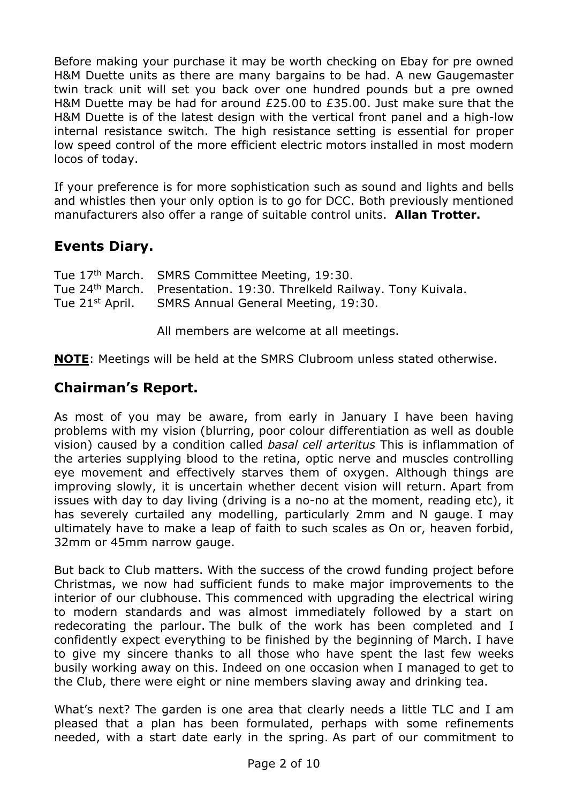Before making your purchase it may be worth checking on Ebay for pre owned H&M Duette units as there are many bargains to be had. A new Gaugemaster twin track unit will set you back over one hundred pounds but a pre owned H&M Duette may be had for around £25.00 to £35.00. Just make sure that the H&M Duette is of the latest design with the vertical front panel and a high-low internal resistance switch. The high resistance setting is essential for proper low speed control of the more efficient electric motors installed in most modern locos of today.

If your preference is for more sophistication such as sound and lights and bells and whistles then your only option is to go for DCC. Both previously mentioned manufacturers also offer a range of suitable control units. **Allan Trotter.**

## **Events Diary.**

| Tue 17 <sup>th</sup> March. SMRS Committee Meeting, 19:30.                        |
|-----------------------------------------------------------------------------------|
| Tue 24 <sup>th</sup> March. Presentation. 19:30. Threlkeld Railway. Tony Kuivala. |
| Tue 21 <sup>st</sup> April. SMRS Annual General Meeting, 19:30.                   |

All members are welcome at all meetings.

**NOTE**: Meetings will be held at the SMRS Clubroom unless stated otherwise.

## **Chairman's Report.**

As most of you may be aware, from early in January I have been having problems with my vision (blurring, poor colour differentiation as well as double vision) caused by a condition called *basal cell arteritus* This is inflammation of the arteries supplying blood to the retina, optic nerve and muscles controlling eye movement and effectively starves them of oxygen. Although things are improving slowly, it is uncertain whether decent vision will return. Apart from issues with day to day living (driving is a no-no at the moment, reading etc), it has severely curtailed any modelling, particularly 2mm and N gauge. I may ultimately have to make a leap of faith to such scales as On or, heaven forbid, 32mm or 45mm narrow gauge.

But back to Club matters. With the success of the crowd funding project before Christmas, we now had sufficient funds to make major improvements to the interior of our clubhouse. This commenced with upgrading the electrical wiring to modern standards and was almost immediately followed by a start on redecorating the parlour. The bulk of the work has been completed and I confidently expect everything to be finished by the beginning of March. I have to give my sincere thanks to all those who have spent the last few weeks busily working away on this. Indeed on one occasion when I managed to get to the Club, there were eight or nine members slaving away and drinking tea.

What's next? The garden is one area that clearly needs a little TLC and I am pleased that a plan has been formulated, perhaps with some refinements needed, with a start date early in the spring. As part of our commitment to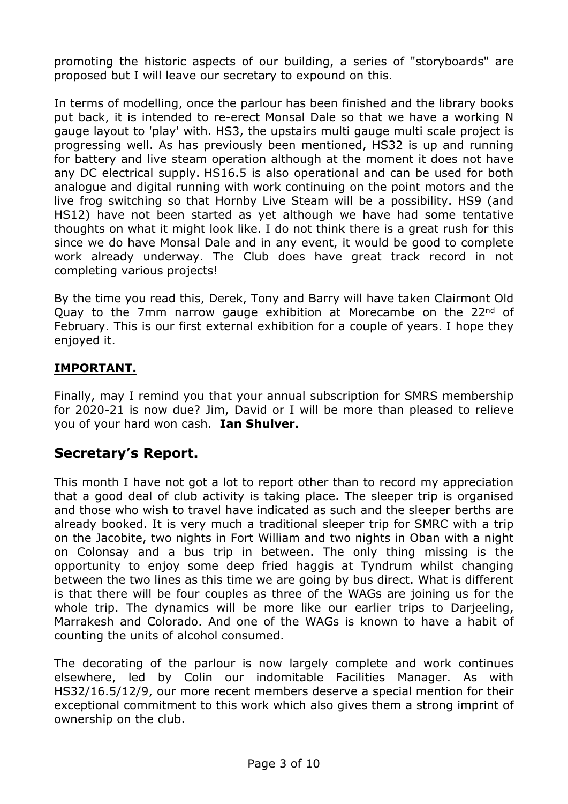promoting the historic aspects of our building, a series of "storyboards" are proposed but I will leave our secretary to expound on this.

In terms of modelling, once the parlour has been finished and the library books put back, it is intended to re-erect Monsal Dale so that we have a working N gauge layout to 'play' with. HS3, the upstairs multi gauge multi scale project is progressing well. As has previously been mentioned, HS32 is up and running for battery and live steam operation although at the moment it does not have any DC electrical supply. HS16.5 is also operational and can be used for both analogue and digital running with work continuing on the point motors and the live frog switching so that Hornby Live Steam will be a possibility. HS9 (and HS12) have not been started as yet although we have had some tentative thoughts on what it might look like. I do not think there is a great rush for this since we do have Monsal Dale and in any event, it would be good to complete work already underway. The Club does have great track record in not completing various projects!

By the time you read this, Derek, Tony and Barry will have taken Clairmont Old Quay to the 7mm narrow gauge exhibition at Morecambe on the 22<sup>nd</sup> of February. This is our first external exhibition for a couple of years. I hope they enjoyed it.

## **IMPORTANT.**

Finally, may I remind you that your annual subscription for SMRS membership for 2020-21 is now due? Jim, David or I will be more than pleased to relieve you of your hard won cash. **Ian Shulver.**

## **Secretary's Report.**

This month I have not got a lot to report other than to record my appreciation that a good deal of club activity is taking place. The sleeper trip is organised and those who wish to travel have indicated as such and the sleeper berths are already booked. It is very much a traditional sleeper trip for SMRC with a trip on the Jacobite, two nights in Fort William and two nights in Oban with a night on Colonsay and a bus trip in between. The only thing missing is the opportunity to enjoy some deep fried haggis at Tyndrum whilst changing between the two lines as this time we are going by bus direct. What is different is that there will be four couples as three of the WAGs are joining us for the whole trip. The dynamics will be more like our earlier trips to Darjeeling, Marrakesh and Colorado. And one of the WAGs is known to have a habit of counting the units of alcohol consumed.

The decorating of the parlour is now largely complete and work continues elsewhere, led by Colin our indomitable Facilities Manager. As with HS32/16.5/12/9, our more recent members deserve a special mention for their exceptional commitment to this work which also gives them a strong imprint of ownership on the club.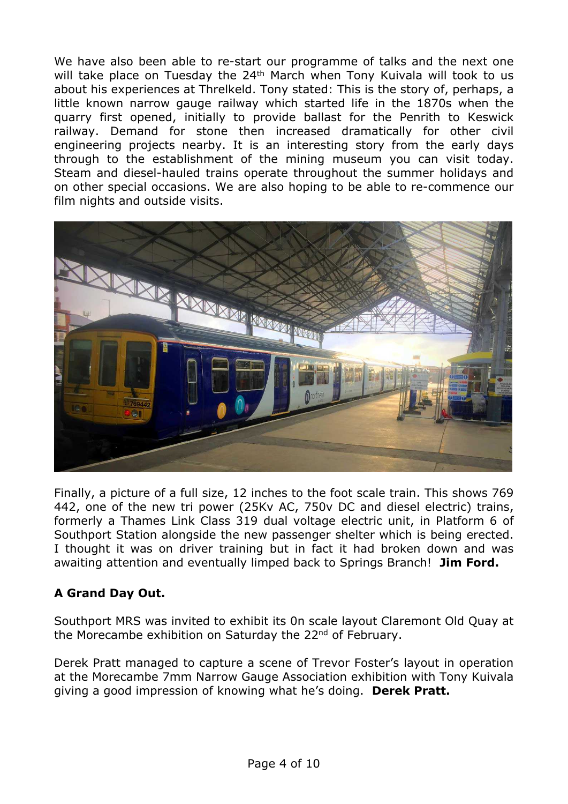We have also been able to re-start our programme of talks and the next one will take place on Tuesday the 24<sup>th</sup> March when Tony Kuivala will took to us about his experiences at Threlkeld. Tony stated: This is the story of, perhaps, a little known narrow gauge railway which started life in the 1870s when the quarry first opened, initially to provide ballast for the Penrith to Keswick railway. Demand for stone then increased dramatically for other civil engineering projects nearby. It is an interesting story from the early days through to the establishment of the mining museum you can visit today. Steam and diesel-hauled trains operate throughout the summer holidays and on other special occasions. We are also hoping to be able to re-commence our film nights and outside visits.



Finally, a picture of a full size, 12 inches to the foot scale train. This shows 769 442, one of the new tri power (25Kv AC, 750v DC and diesel electric) trains, formerly a Thames Link Class 319 dual voltage electric unit, in Platform 6 of Southport Station alongside the new passenger shelter which is being erected. I thought it was on driver training but in fact it had broken down and was awaiting attention and eventually limped back to Springs Branch! **Jim Ford.**

## **A Grand Day Out.**

Southport MRS was invited to exhibit its 0n scale layout Claremont Old Quay at the Morecambe exhibition on Saturday the 22<sup>nd</sup> of February.

Derek Pratt managed to capture a scene of Trevor Foster's layout in operation at the Morecambe 7mm Narrow Gauge Association exhibition with Tony Kuivala giving a good impression of knowing what he's doing. **Derek Pratt.**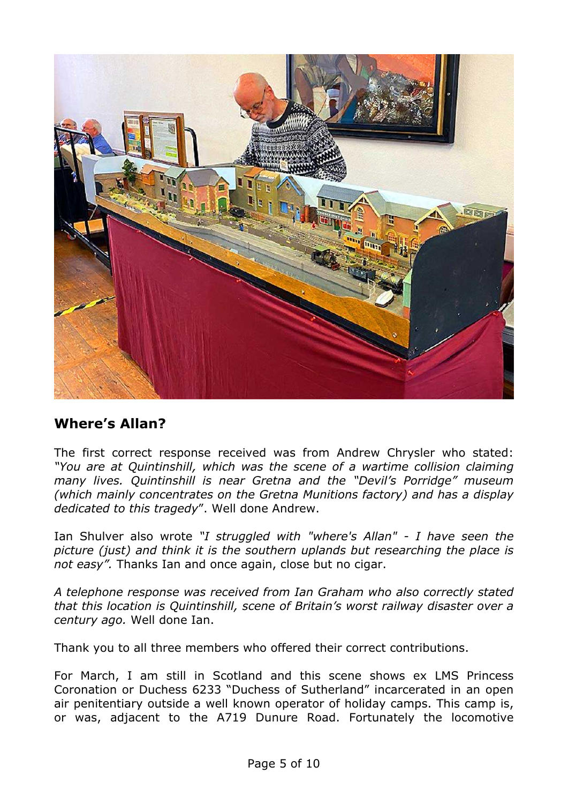

## **Where's Allan?**

The first correct response received was from Andrew Chrysler who stated: *"You are at Quintinshill, which was the scene of a wartime collision claiming many lives. Quintinshill is near Gretna and the "Devil's Porridge" museum (which mainly concentrates on the Gretna Munitions factory) and has a display dedicated to this tragedy*". Well done Andrew.

Ian Shulver also wrote *"I struggled with "where's Allan" - I have seen the picture (just) and think it is the southern uplands but researching the place is not easy".* Thanks Ian and once again, close but no cigar.

*A telephone response was received from Ian Graham who also correctly stated that this location is Quintinshill, scene of Britain's worst railway disaster over a century ago.* Well done Ian.

Thank you to all three members who offered their correct contributions.

For March, I am still in Scotland and this scene shows ex LMS Princess Coronation or Duchess 6233 "Duchess of Sutherland" incarcerated in an open air penitentiary outside a well known operator of holiday camps. This camp is, or was, adjacent to the A719 Dunure Road. Fortunately the locomotive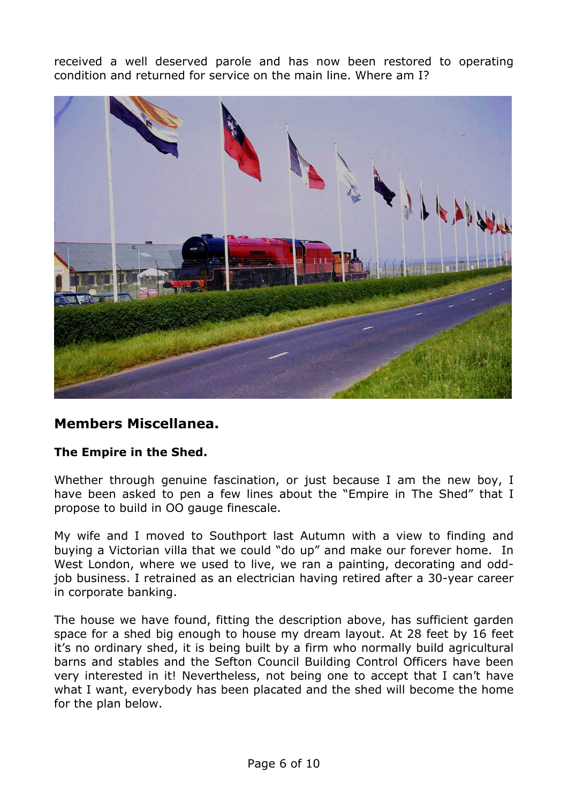received a well deserved parole and has now been restored to operating condition and returned for service on the main line. Where am I?



## **Members Miscellanea.**

#### **The Empire in the Shed.**

Whether through genuine fascination, or just because I am the new boy, I have been asked to pen a few lines about the "Empire in The Shed" that I propose to build in OO gauge finescale.

My wife and I moved to Southport last Autumn with a view to finding and buying a Victorian villa that we could "do up" and make our forever home. In West London, where we used to live, we ran a painting, decorating and oddjob business. I retrained as an electrician having retired after a 30-year career in corporate banking.

The house we have found, fitting the description above, has sufficient garden space for a shed big enough to house my dream layout. At 28 feet by 16 feet it's no ordinary shed, it is being built by a firm who normally build agricultural barns and stables and the Sefton Council Building Control Officers have been very interested in it! Nevertheless, not being one to accept that I can't have what I want, everybody has been placated and the shed will become the home for the plan below.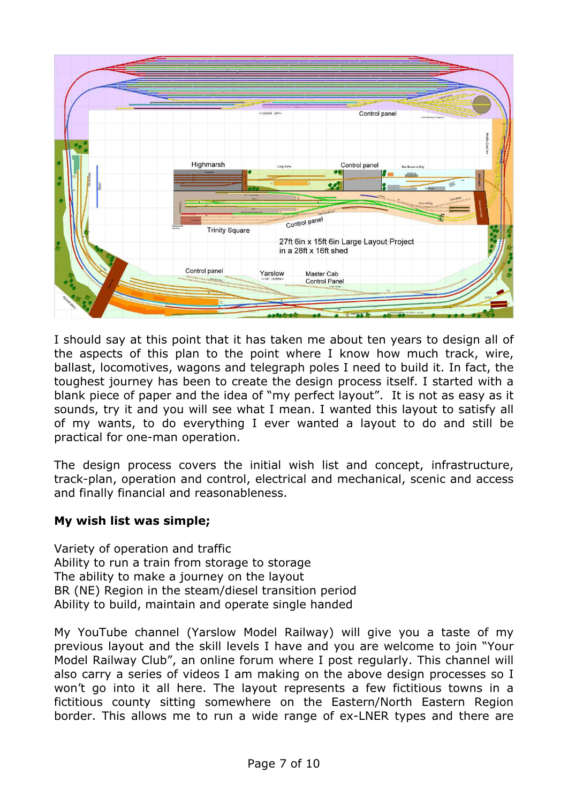

I should say at this point that it has taken me about ten years to design all of the aspects of this plan to the point where I know how much track, wire, ballast, locomotives, wagons and telegraph poles I need to build it. In fact, the toughest journey has been to create the design process itself. I started with a blank piece of paper and the idea of "my perfect layout". It is not as easy as it sounds, try it and you will see what I mean. I wanted this layout to satisfy all of my wants, to do everything I ever wanted a layout to do and still be practical for one-man operation.

The design process covers the initial wish list and concept, infrastructure, track-plan, operation and control, electrical and mechanical, scenic and access and finally financial and reasonableness.

#### **My wish list was simple;**

Variety of operation and traffic Ability to run a train from storage to storage The ability to make a journey on the layout BR (NE) Region in the steam/diesel transition period Ability to build, maintain and operate single handed

My YouTube channel (Yarslow Model Railway) will give you a taste of my previous layout and the skill levels I have and you are welcome to join "Your Model Railway Club", an online forum where I post regularly. This channel will also carry a series of videos I am making on the above design processes so I won't go into it all here. The layout represents a few fictitious towns in a fictitious county sitting somewhere on the Eastern/North Eastern Region border. This allows me to run a wide range of ex-LNER types and there are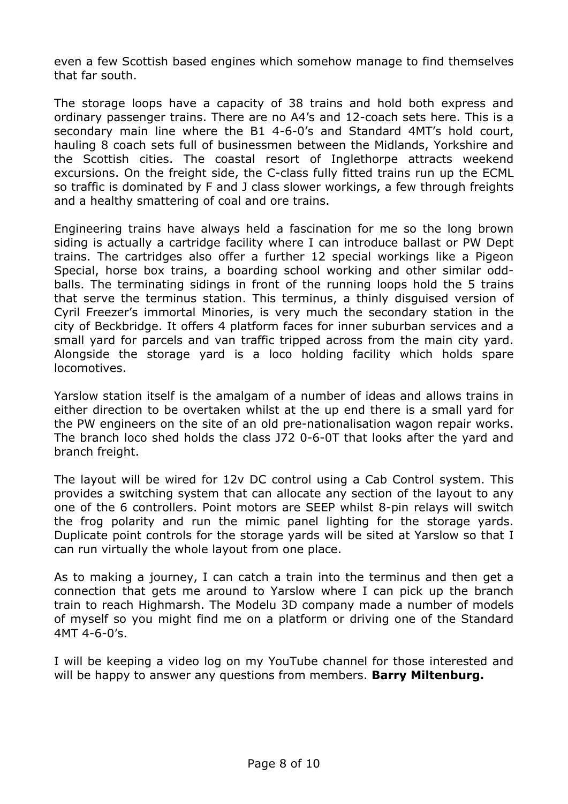even a few Scottish based engines which somehow manage to find themselves that far south.

The storage loops have a capacity of 38 trains and hold both express and ordinary passenger trains. There are no A4's and 12-coach sets here. This is a secondary main line where the B1 4-6-0's and Standard 4MT's hold court, hauling 8 coach sets full of businessmen between the Midlands, Yorkshire and the Scottish cities. The coastal resort of Inglethorpe attracts weekend excursions. On the freight side, the C-class fully fitted trains run up the ECML so traffic is dominated by F and J class slower workings, a few through freights and a healthy smattering of coal and ore trains.

Engineering trains have always held a fascination for me so the long brown siding is actually a cartridge facility where I can introduce ballast or PW Dept trains. The cartridges also offer a further 12 special workings like a Pigeon Special, horse box trains, a boarding school working and other similar oddballs. The terminating sidings in front of the running loops hold the 5 trains that serve the terminus station. This terminus, a thinly disguised version of Cyril Freezer's immortal Minories, is very much the secondary station in the city of Beckbridge. It offers 4 platform faces for inner suburban services and a small yard for parcels and van traffic tripped across from the main city yard. Alongside the storage yard is a loco holding facility which holds spare locomotives.

Yarslow station itself is the amalgam of a number of ideas and allows trains in either direction to be overtaken whilst at the up end there is a small yard for the PW engineers on the site of an old pre-nationalisation wagon repair works. The branch loco shed holds the class J72 0-6-0T that looks after the yard and branch freight.

The layout will be wired for 12v DC control using a Cab Control system. This provides a switching system that can allocate any section of the layout to any one of the 6 controllers. Point motors are SEEP whilst 8-pin relays will switch the frog polarity and run the mimic panel lighting for the storage yards. Duplicate point controls for the storage yards will be sited at Yarslow so that I can run virtually the whole layout from one place.

As to making a journey, I can catch a train into the terminus and then get a connection that gets me around to Yarslow where I can pick up the branch train to reach Highmarsh. The Modelu 3D company made a number of models of myself so you might find me on a platform or driving one of the Standard 4MT 4-6-0's.

I will be keeping a video log on my YouTube channel for those interested and will be happy to answer any questions from members. **Barry Miltenburg.**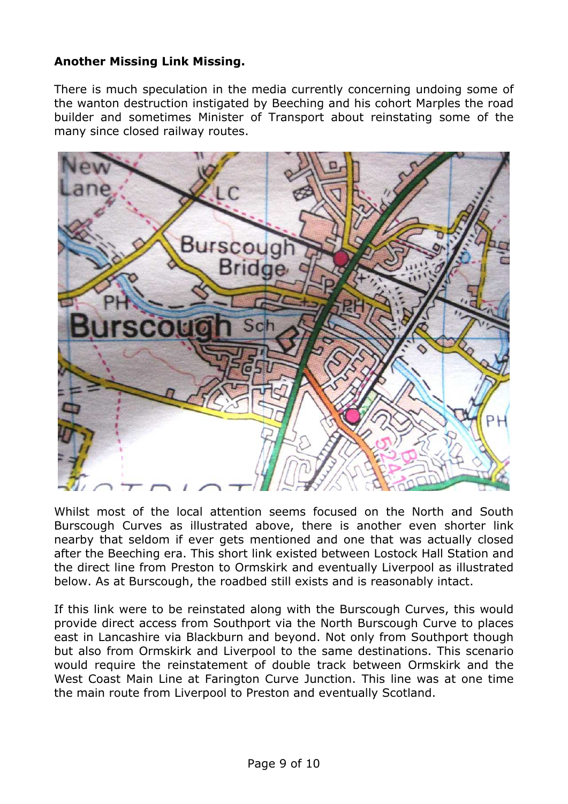#### **Another Missing Link Missing.**

There is much speculation in the media currently concerning undoing some of the wanton destruction instigated by Beeching and his cohort Marples the road builder and sometimes Minister of Transport about reinstating some of the many since closed railway routes.



Whilst most of the local attention seems focused on the North and South Burscough Curves as illustrated above, there is another even shorter link nearby that seldom if ever gets mentioned and one that was actually closed after the Beeching era. This short link existed between Lostock Hall Station and the direct line from Preston to Ormskirk and eventually Liverpool as illustrated below. As at Burscough, the roadbed still exists and is reasonably intact.

If this link were to be reinstated along with the Burscough Curves, this would provide direct access from Southport via the North Burscough Curve to places east in Lancashire via Blackburn and beyond. Not only from Southport though but also from Ormskirk and Liverpool to the same destinations. This scenario would require the reinstatement of double track between Ormskirk and the West Coast Main Line at Farington Curve Junction. This line was at one time the main route from Liverpool to Preston and eventually Scotland.